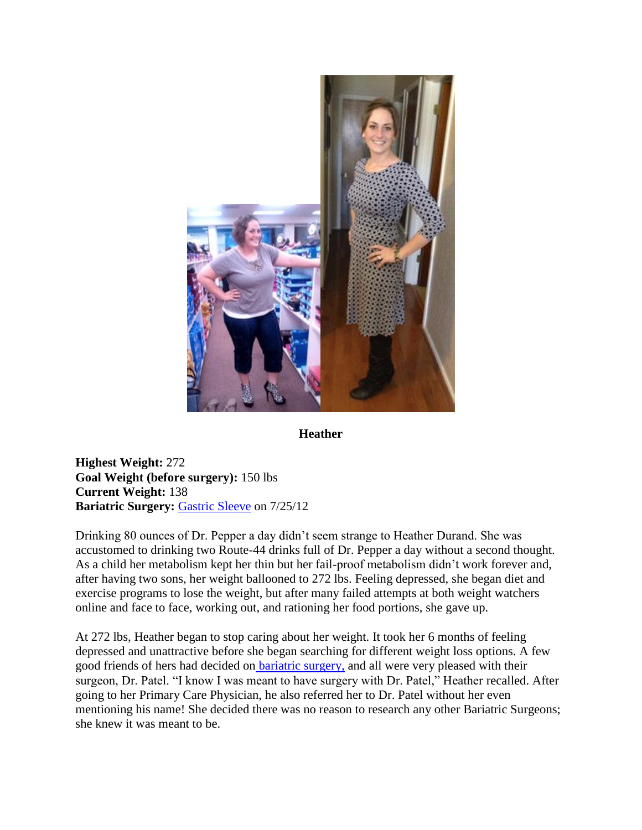

**Heather**

**Highest Weight:** 272 **Goal Weight (before surgery):** 150 lbs **Current Weight:** 138 **Bariatric Surgery:** [Gastric Sleeve](http://texasbariatricspecialists.com/gastric-sleeve-san-antonio) on 7/25/12

Drinking 80 ounces of Dr. Pepper a day didn't seem strange to Heather Durand. She was accustomed to drinking two Route-44 drinks full of Dr. Pepper a day without a second thought. As a child her metabolism kept her thin but her fail-proof metabolism didn't work forever and, after having two sons, her weight ballooned to 272 lbs. Feeling depressed, she began diet and exercise programs to lose the weight, but after many failed attempts at both weight watchers online and face to face, working out, and rationing her food portions, she gave up.

At 272 lbs, Heather began to stop caring about her weight. It took her 6 months of feeling depressed and unattractive before she began searching for different weight loss options. A few good friends of hers had decided on [bariatric surgery,](http://texasbariatricspecialists.com/bariatric-surgery-san-antonio-2) and all were very pleased with their surgeon, Dr. Patel. "I know I was meant to have surgery with Dr. Patel," Heather recalled. After going to her Primary Care Physician, he also referred her to Dr. Patel without her even mentioning his name! She decided there was no reason to research any other Bariatric Surgeons; she knew it was meant to be.